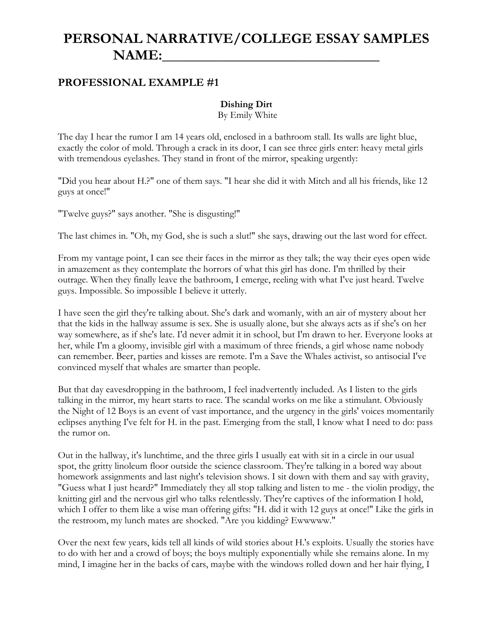# **PERSONAL NARRATIVE/COLLEGE ESSAY SAMPLES**  $NAME:$

### **PROFESSIONAL EXAMPLE #1**

## **Dishing Dirt**

By Emily White

The day I hear the rumor I am 14 years old, enclosed in a bathroom stall. Its walls are light blue, exactly the color of mold. Through a crack in its door, I can see three girls enter: heavy metal girls with tremendous eyelashes. They stand in front of the mirror, speaking urgently:

"Did you hear about H.?" one of them says. "I hear she did it with Mitch and all his friends, like 12 guys at once!"

"Twelve guys?" says another. "She is disgusting!"

The last chimes in. "Oh, my God, she is such a slut!" she says, drawing out the last word for effect.

From my vantage point, I can see their faces in the mirror as they talk; the way their eyes open wide in amazement as they contemplate the horrors of what this girl has done. I'm thrilled by their outrage. When they finally leave the bathroom, I emerge, reeling with what I've just heard. Twelve guys. Impossible. So impossible I believe it utterly.

I have seen the girl they're talking about. She's dark and womanly, with an air of mystery about her that the kids in the hallway assume is sex. She is usually alone, but she always acts as if she's on her way somewhere, as if she's late. I'd never admit it in school, but I'm drawn to her. Everyone looks at her, while I'm a gloomy, invisible girl with a maximum of three friends, a girl whose name nobody can remember. Beer, parties and kisses are remote. I'm a Save the Whales activist, so antisocial I've convinced myself that whales are smarter than people.

But that day eavesdropping in the bathroom, I feel inadvertently included. As I listen to the girls talking in the mirror, my heart starts to race. The scandal works on me like a stimulant. Obviously the Night of 12 Boys is an event of vast importance, and the urgency in the girls' voices momentarily eclipses anything I've felt for H. in the past. Emerging from the stall, I know what I need to do: pass the rumor on.

Out in the hallway, it's lunchtime, and the three girls I usually eat with sit in a circle in our usual spot, the gritty linoleum floor outside the science classroom. They're talking in a bored way about homework assignments and last night's television shows. I sit down with them and say with gravity, "Guess what I just heard?" Immediately they all stop talking and listen to me - the violin prodigy, the knitting girl and the nervous girl who talks relentlessly. They're captives of the information I hold, which I offer to them like a wise man offering gifts: "H. did it with 12 guys at once!" Like the girls in the restroom, my lunch mates are shocked. "Are you kidding? Ewwwww."

Over the next few years, kids tell all kinds of wild stories about H.'s exploits. Usually the stories have to do with her and a crowd of boys; the boys multiply exponentially while she remains alone. In my mind, I imagine her in the backs of cars, maybe with the windows rolled down and her hair flying, I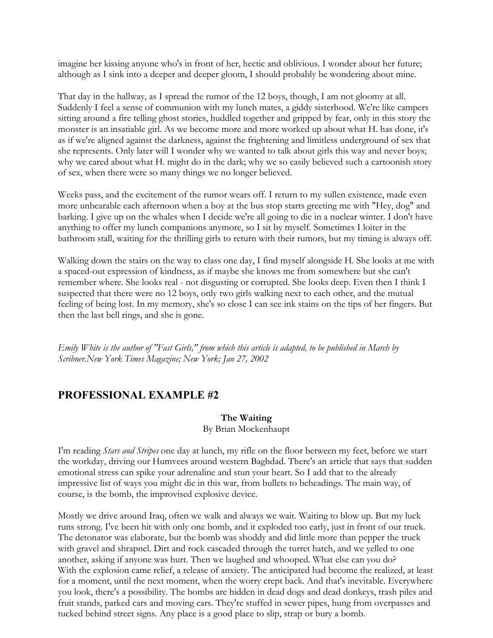imagine her kissing anyone who's in front of her, hectic and oblivious. I wonder about her future; although as I sink into a deeper and deeper gloom, I should probably be wondering about mine.

That day in the hallway, as I spread the rumor of the 12 boys, though, I am not gloomy at all. Suddenly I feel a sense of communion with my lunch mates, a giddy sisterhood. We're like campers sitting around a fire telling ghost stories, huddled together and gripped by fear, only in this story the monster is an insatiable girl. As we become more and more worked up about what H. has done, it's as if we're aligned against the darkness, against the frightening and limitless underground of sex that she represents. Only later will I wonder why we wanted to talk about girls this way and never boys; why we cared about what H. might do in the dark; why we so easily believed such a cartoonish story of sex, when there were so many things we no longer believed.

Weeks pass, and the excitement of the rumor wears off. I return to my sullen existence, made even more unbearable each afternoon when a boy at the bus stop starts greeting me with "Hey, dog" and barking. I give up on the whales when I decide we're all going to die in a nuclear winter. I don't have anything to offer my lunch companions anymore, so I sit by myself. Sometimes I loiter in the bathroom stall, waiting for the thrilling girls to return with their rumors, but my timing is always off.

Walking down the stairs on the way to class one day, I find myself alongside H. She looks at me with a spaced-out expression of kindness, as if maybe she knows me from somewhere but she can't remember where. She looks real - not disgusting or corrupted. She looks deep. Even then I think I suspected that there were no 12 boys, only two girls walking next to each other, and the mutual feeling of being lost. In my memory, she's so close I can see ink stains on the tips of her fingers. But then the last bell rings, and she is gone.

*Emily White is the author of "Fast Girls," from which this article is adapted, to be published in March by Scribner.New York Times Magazine; New York; Jan 27, 2002*

## **PROFESSIONAL EXAMPLE #2**

### **The Waiting**

By Brian Mockenhaupt

I'm reading *Stars and Stripes* one day at lunch, my rifle on the floor between my feet, before we start the workday, driving our Humvees around western Baghdad. There's an article that says that sudden emotional stress can spike your adrenaline and stun your heart. So I add that to the already impressive list of ways you might die in this war, from bullets to beheadings. The main way, of course, is the bomb, the improvised explosive device.

Mostly we drive around Iraq, often we walk and always we wait. Waiting to blow up. But my luck runs strong. I've been hit with only one bomb, and it exploded too early, just in front of our truck. The detonator was elaborate, but the bomb was shoddy and did little more than pepper the truck with gravel and shrapnel. Dirt and rock cascaded through the turret hatch, and we yelled to one another, asking if anyone was hurt. Then we laughed and whooped. What else can you do? With the explosion came relief, a release of anxiety. The anticipated had become the realized, at least for a moment, until the next moment, when the worry crept back. And that's inevitable. Everywhere you look, there's a possibility. The bombs are hidden in dead dogs and dead donkeys, trash piles and fruit stands, parked cars and moving cars. They're stuffed in sewer pipes, hung from overpasses and tucked behind street signs. Any place is a good place to slip, strap or bury a bomb.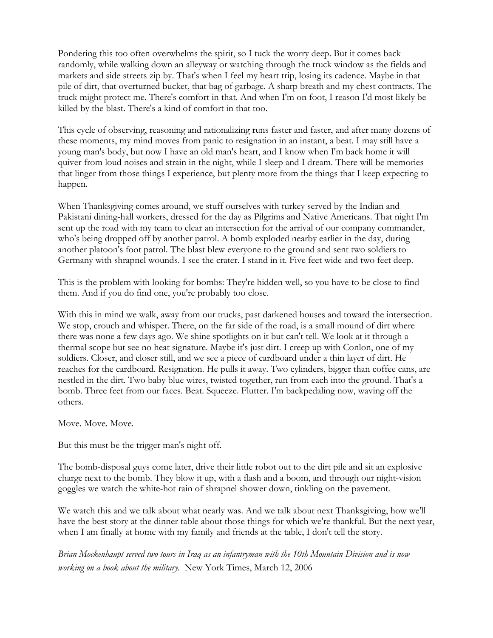Pondering this too often overwhelms the spirit, so I tuck the worry deep. But it comes back randomly, while walking down an alleyway or watching through the truck window as the fields and markets and side streets zip by. That's when I feel my heart trip, losing its cadence. Maybe in that pile of dirt, that overturned bucket, that bag of garbage. A sharp breath and my chest contracts. The truck might protect me. There's comfort in that. And when I'm on foot, I reason I'd most likely be killed by the blast. There's a kind of comfort in that too.

This cycle of observing, reasoning and rationalizing runs faster and faster, and after many dozens of these moments, my mind moves from panic to resignation in an instant, a beat. I may still have a young man's body, but now I have an old man's heart, and I know when I'm back home it will quiver from loud noises and strain in the night, while I sleep and I dream. There will be memories that linger from those things I experience, but plenty more from the things that I keep expecting to happen.

When Thanksgiving comes around, we stuff ourselves with turkey served by the Indian and Pakistani dining-hall workers, dressed for the day as Pilgrims and Native Americans. That night I'm sent up the road with my team to clear an intersection for the arrival of our company commander, who's being dropped off by another patrol. A bomb exploded nearby earlier in the day, during another platoon's foot patrol. The blast blew everyone to the ground and sent two soldiers to Germany with shrapnel wounds. I see the crater. I stand in it. Five feet wide and two feet deep.

This is the problem with looking for bombs: They're hidden well, so you have to be close to find them. And if you do find one, you're probably too close.

With this in mind we walk, away from our trucks, past darkened houses and toward the intersection. We stop, crouch and whisper. There, on the far side of the road, is a small mound of dirt where there was none a few days ago. We shine spotlights on it but can't tell. We look at it through a thermal scope but see no heat signature. Maybe it's just dirt. I creep up with Conlon, one of my soldiers. Closer, and closer still, and we see a piece of cardboard under a thin layer of dirt. He reaches for the cardboard. Resignation. He pulls it away. Two cylinders, bigger than coffee cans, are nestled in the dirt. Two baby blue wires, twisted together, run from each into the ground. That's a bomb. Three feet from our faces. Beat. Squeeze. Flutter. I'm backpedaling now, waving off the others.

Move. Move. Move.

But this must be the trigger man's night off.

The bomb-disposal guys come later, drive their little robot out to the dirt pile and sit an explosive charge next to the bomb. They blow it up, with a flash and a boom, and through our night-vision goggles we watch the white-hot rain of shrapnel shower down, tinkling on the pavement.

We watch this and we talk about what nearly was. And we talk about next Thanksgiving, how we'll have the best story at the dinner table about those things for which we're thankful. But the next year, when I am finally at home with my family and friends at the table, I don't tell the story.

*Brian Mockenhaupt served two tours in Iraq as an infantryman with the 10th Mountain Division and is now working on a book about the military.* New York Times, March 12, 2006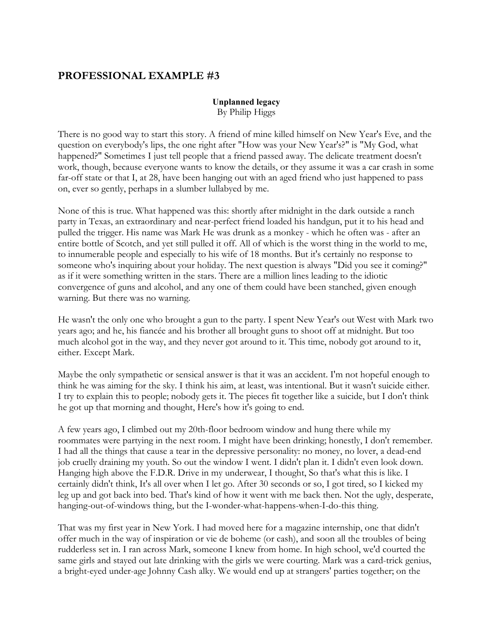## **PROFESSIONAL EXAMPLE #3**

#### **Unplanned legacy** By Philip Higgs

There is no good way to start this story. A friend of mine killed himself on New Year's Eve, and the question on everybody's lips, the one right after "How was your New Year's?" is "My God, what happened?" Sometimes I just tell people that a friend passed away. The delicate treatment doesn't work, though, because everyone wants to know the details, or they assume it was a car crash in some far-off state or that I, at 28, have been hanging out with an aged friend who just happened to pass on, ever so gently, perhaps in a slumber lullabyed by me.

None of this is true. What happened was this: shortly after midnight in the dark outside a ranch party in Texas, an extraordinary and near-perfect friend loaded his handgun, put it to his head and pulled the trigger. His name was Mark He was drunk as a monkey - which he often was - after an entire bottle of Scotch, and yet still pulled it off. All of which is the worst thing in the world to me, to innumerable people and especially to his wife of 18 months. But it's certainly no response to someone who's inquiring about your holiday. The next question is always "Did you see it coming?" as if it were something written in the stars. There are a million lines leading to the idiotic convergence of guns and alcohol, and any one of them could have been stanched, given enough warning. But there was no warning.

He wasn't the only one who brought a gun to the party. I spent New Year's out West with Mark two years ago; and he, his fiancée and his brother all brought guns to shoot off at midnight. But too much alcohol got in the way, and they never got around to it. This time, nobody got around to it, either. Except Mark.

Maybe the only sympathetic or sensical answer is that it was an accident. I'm not hopeful enough to think he was aiming for the sky. I think his aim, at least, was intentional. But it wasn't suicide either. I try to explain this to people; nobody gets it. The pieces fit together like a suicide, but I don't think he got up that morning and thought, Here's how it's going to end.

A few years ago, I climbed out my 20th-floor bedroom window and hung there while my roommates were partying in the next room. I might have been drinking; honestly, I don't remember. I had all the things that cause a tear in the depressive personality: no money, no lover, a dead-end job cruelly draining my youth. So out the window I went. I didn't plan it. I didn't even look down. Hanging high above the F.D.R. Drive in my underwear, I thought, So that's what this is like. I certainly didn't think, It's all over when I let go. After 30 seconds or so, I got tired, so I kicked my leg up and got back into bed. That's kind of how it went with me back then. Not the ugly, desperate, hanging-out-of-windows thing, but the I-wonder-what-happens-when-I-do-this thing.

That was my first year in New York. I had moved here for a magazine internship, one that didn't offer much in the way of inspiration or vie de boheme (or cash), and soon all the troubles of being rudderless set in. I ran across Mark, someone I knew from home. In high school, we'd courted the same girls and stayed out late drinking with the girls we were courting. Mark was a card-trick genius, a bright-eyed under-age Johnny Cash alky. We would end up at strangers' parties together; on the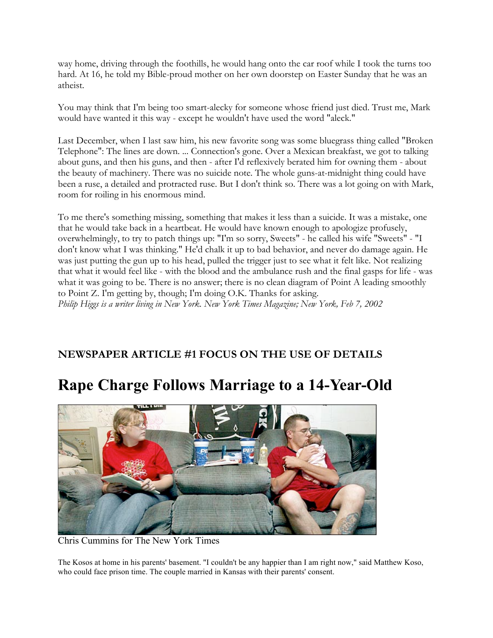way home, driving through the foothills, he would hang onto the car roof while I took the turns too hard. At 16, he told my Bible-proud mother on her own doorstep on Easter Sunday that he was an atheist.

You may think that I'm being too smart-alecky for someone whose friend just died. Trust me, Mark would have wanted it this way - except he wouldn't have used the word "aleck."

Last December, when I last saw him, his new favorite song was some bluegrass thing called "Broken Telephone": The lines are down. ... Connection's gone. Over a Mexican breakfast, we got to talking about guns, and then his guns, and then - after I'd reflexively berated him for owning them - about the beauty of machinery. There was no suicide note. The whole guns-at-midnight thing could have been a ruse, a detailed and protracted ruse. But I don't think so. There was a lot going on with Mark, room for roiling in his enormous mind.

To me there's something missing, something that makes it less than a suicide. It was a mistake, one that he would take back in a heartbeat. He would have known enough to apologize profusely, overwhelmingly, to try to patch things up: "I'm so sorry, Sweets" - he called his wife "Sweets" - "I don't know what I was thinking." He'd chalk it up to bad behavior, and never do damage again. He was just putting the gun up to his head, pulled the trigger just to see what it felt like. Not realizing that what it would feel like - with the blood and the ambulance rush and the final gasps for life - was what it was going to be. There is no answer; there is no clean diagram of Point A leading smoothly to Point Z. I'm getting by, though; I'm doing O.K. Thanks for asking. *Philip Higgs is a writer living in New York. New York Times Magazine; New York, Feb 7, 2002*

## **NEWSPAPER ARTICLE #1 FOCUS ON THE USE OF DETAILS**

# **Rape Charge Follows Marriage to a 14-Year-Old**



Chris Cummins for The New York Times

The Kosos at home in his parents' basement. "I couldn't be any happier than I am right now," said Matthew Koso, who could face prison time. The couple married in Kansas with their parents' consent.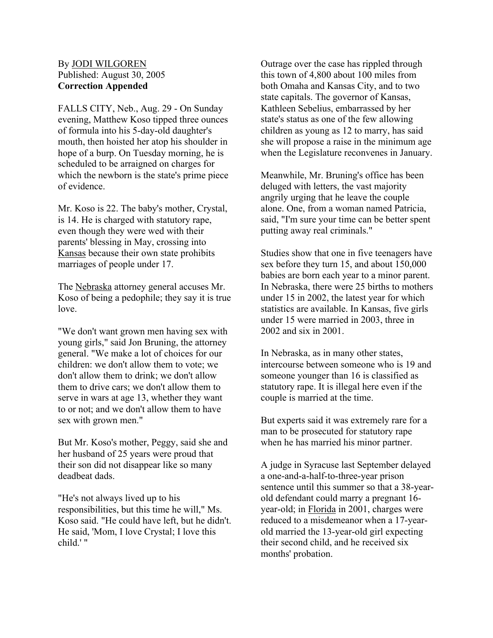#### By JODI WILGOREN Published: August 30, 2005 **Correction Appended**

FALLS CITY, Neb., Aug. 29 - On Sunday evening, Matthew Koso tipped three ounces of formula into his 5-day-old daughter's mouth, then hoisted her atop his shoulder in hope of a burp. On Tuesday morning, he is scheduled to be arraigned on charges for which the newborn is the state's prime piece of evidence.

Mr. Koso is 22. The baby's mother, Crystal, is 14. He is charged with statutory rape, even though they were wed with their parents' blessing in May, crossing into Kansas because their own state prohibits marriages of people under 17.

The Nebraska attorney general accuses Mr. Koso of being a pedophile; they say it is true love.

"We don't want grown men having sex with young girls," said Jon Bruning, the attorney general. "We make a lot of choices for our children: we don't allow them to vote; we don't allow them to drink; we don't allow them to drive cars; we don't allow them to serve in wars at age 13, whether they want to or not; and we don't allow them to have sex with grown men."

But Mr. Koso's mother, Peggy, said she and her husband of 25 years were proud that their son did not disappear like so many deadbeat dads.

"He's not always lived up to his responsibilities, but this time he will," Ms. Koso said. "He could have left, but he didn't. He said, 'Mom, I love Crystal; I love this child.' "

Outrage over the case has rippled through this town of 4,800 about 100 miles from both Omaha and Kansas City, and to two state capitals. The governor of Kansas, Kathleen Sebelius, embarrassed by her state's status as one of the few allowing children as young as 12 to marry, has said she will propose a raise in the minimum age when the Legislature reconvenes in January.

Meanwhile, Mr. Bruning's office has been deluged with letters, the vast majority angrily urging that he leave the couple alone. One, from a woman named Patricia, said, "I'm sure your time can be better spent putting away real criminals."

Studies show that one in five teenagers have sex before they turn 15, and about 150,000 babies are born each year to a minor parent. In Nebraska, there were 25 births to mothers under 15 in 2002, the latest year for which statistics are available. In Kansas, five girls under 15 were married in 2003, three in 2002 and six in 2001.

In Nebraska, as in many other states, intercourse between someone who is 19 and someone younger than 16 is classified as statutory rape. It is illegal here even if the couple is married at the time.

But experts said it was extremely rare for a man to be prosecuted for statutory rape when he has married his minor partner.

A judge in Syracuse last September delayed a one-and-a-half-to-three-year prison sentence until this summer so that a 38-yearold defendant could marry a pregnant 16 year-old; in Florida in 2001, charges were reduced to a misdemeanor when a 17-yearold married the 13-year-old girl expecting their second child, and he received six months' probation.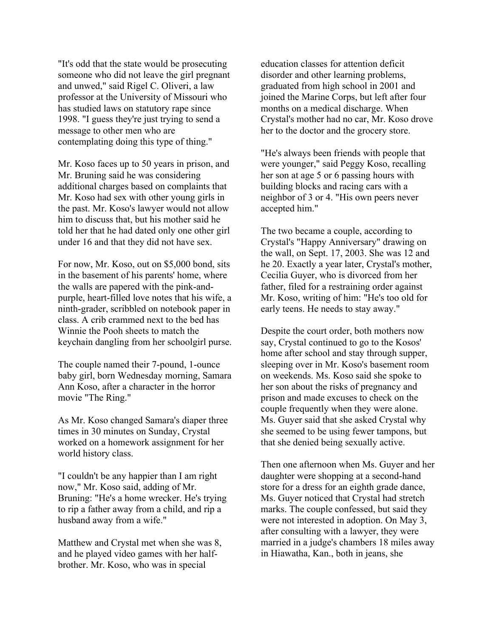"It's odd that the state would be prosecuting someone who did not leave the girl pregnant and unwed," said Rigel C. Oliveri, a law professor at the University of Missouri who has studied laws on statutory rape since 1998. "I guess they're just trying to send a message to other men who are contemplating doing this type of thing."

Mr. Koso faces up to 50 years in prison, and Mr. Bruning said he was considering additional charges based on complaints that Mr. Koso had sex with other young girls in the past. Mr. Koso's lawyer would not allow him to discuss that, but his mother said he told her that he had dated only one other girl under 16 and that they did not have sex.

For now, Mr. Koso, out on \$5,000 bond, sits in the basement of his parents' home, where the walls are papered with the pink-andpurple, heart-filled love notes that his wife, a ninth-grader, scribbled on notebook paper in class. A crib crammed next to the bed has Winnie the Pooh sheets to match the keychain dangling from her schoolgirl purse.

The couple named their 7-pound, 1-ounce baby girl, born Wednesday morning, Samara Ann Koso, after a character in the horror movie "The Ring."

As Mr. Koso changed Samara's diaper three times in 30 minutes on Sunday, Crystal worked on a homework assignment for her world history class.

"I couldn't be any happier than I am right now," Mr. Koso said, adding of Mr. Bruning: "He's a home wrecker. He's trying to rip a father away from a child, and rip a husband away from a wife."

Matthew and Crystal met when she was 8, and he played video games with her halfbrother. Mr. Koso, who was in special

education classes for attention deficit disorder and other learning problems, graduated from high school in 2001 and joined the Marine Corps, but left after four months on a medical discharge. When Crystal's mother had no car, Mr. Koso drove her to the doctor and the grocery store.

"He's always been friends with people that were younger," said Peggy Koso, recalling her son at age 5 or 6 passing hours with building blocks and racing cars with a neighbor of 3 or 4. "His own peers never accepted him."

The two became a couple, according to Crystal's "Happy Anniversary" drawing on the wall, on Sept. 17, 2003. She was 12 and he 20. Exactly a year later, Crystal's mother, Cecilia Guyer, who is divorced from her father, filed for a restraining order against Mr. Koso, writing of him: "He's too old for early teens. He needs to stay away."

Despite the court order, both mothers now say, Crystal continued to go to the Kosos' home after school and stay through supper, sleeping over in Mr. Koso's basement room on weekends. Ms. Koso said she spoke to her son about the risks of pregnancy and prison and made excuses to check on the couple frequently when they were alone. Ms. Guyer said that she asked Crystal why she seemed to be using fewer tampons, but that she denied being sexually active.

Then one afternoon when Ms. Guyer and her daughter were shopping at a second-hand store for a dress for an eighth grade dance, Ms. Guyer noticed that Crystal had stretch marks. The couple confessed, but said they were not interested in adoption. On May 3, after consulting with a lawyer, they were married in a judge's chambers 18 miles away in Hiawatha, Kan., both in jeans, she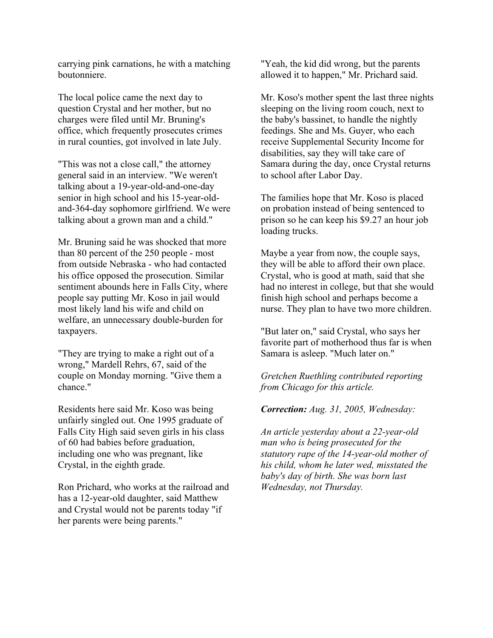carrying pink carnations, he with a matching boutonniere.

The local police came the next day to question Crystal and her mother, but no charges were filed until Mr. Bruning's office, which frequently prosecutes crimes in rural counties, got involved in late July.

"This was not a close call," the attorney general said in an interview. "We weren't talking about a 19-year-old-and-one-day senior in high school and his 15-year-oldand-364-day sophomore girlfriend. We were talking about a grown man and a child."

Mr. Bruning said he was shocked that more than 80 percent of the 250 people - most from outside Nebraska - who had contacted his office opposed the prosecution. Similar sentiment abounds here in Falls City, where people say putting Mr. Koso in jail would most likely land his wife and child on welfare, an unnecessary double-burden for taxpayers.

"They are trying to make a right out of a wrong," Mardell Rehrs, 67, said of the couple on Monday morning. "Give them a chance."

Residents here said Mr. Koso was being unfairly singled out. One 1995 graduate of Falls City High said seven girls in his class of 60 had babies before graduation, including one who was pregnant, like Crystal, in the eighth grade.

Ron Prichard, who works at the railroad and has a 12-year-old daughter, said Matthew and Crystal would not be parents today "if her parents were being parents."

"Yeah, the kid did wrong, but the parents allowed it to happen," Mr. Prichard said.

Mr. Koso's mother spent the last three nights sleeping on the living room couch, next to the baby's bassinet, to handle the nightly feedings. She and Ms. Guyer, who each receive Supplemental Security Income for disabilities, say they will take care of Samara during the day, once Crystal returns to school after Labor Day.

The families hope that Mr. Koso is placed on probation instead of being sentenced to prison so he can keep his \$9.27 an hour job loading trucks.

Maybe a year from now, the couple says, they will be able to afford their own place. Crystal, who is good at math, said that she had no interest in college, but that she would finish high school and perhaps become a nurse. They plan to have two more children.

"But later on," said Crystal, who says her favorite part of motherhood thus far is when Samara is asleep. "Much later on."

*Gretchen Ruethling contributed reporting from Chicago for this article.*

#### *Correction: Aug. 31, 2005, Wednesday:*

*An article yesterday about a 22-year-old man who is being prosecuted for the statutory rape of the 14-year-old mother of his child, whom he later wed, misstated the baby's day of birth. She was born last Wednesday, not Thursday.*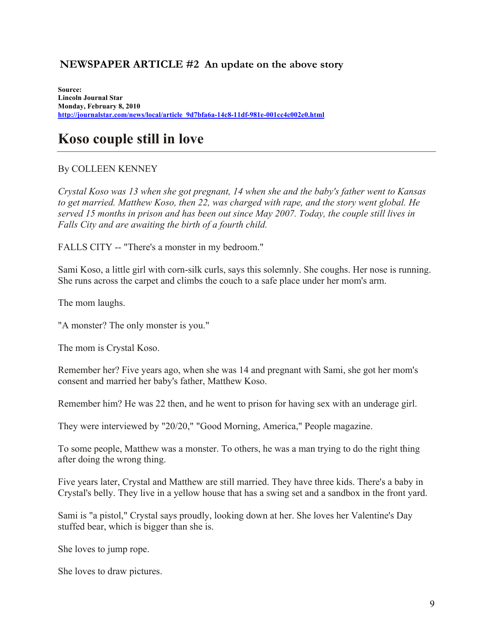## **NEWSPAPER ARTICLE #2 An update on the above story**

**Source: Lincoln Journal Star Monday, February 8, 2010 http://journalstar.com/news/local/article\_9d7bfa6a-14c8-11df-981e-001cc4c002e0.html**

# **Koso couple still in love**

### By COLLEEN KENNEY

*Crystal Koso was 13 when she got pregnant, 14 when she and the baby's father went to Kansas to get married. Matthew Koso, then 22, was charged with rape, and the story went global. He served 15 months in prison and has been out since May 2007. Today, the couple still lives in Falls City and are awaiting the birth of a fourth child.*

FALLS CITY -- "There's a monster in my bedroom."

Sami Koso, a little girl with corn-silk curls, says this solemnly. She coughs. Her nose is running. She runs across the carpet and climbs the couch to a safe place under her mom's arm.

The mom laughs.

"A monster? The only monster is you."

The mom is Crystal Koso.

Remember her? Five years ago, when she was 14 and pregnant with Sami, she got her mom's consent and married her baby's father, Matthew Koso.

Remember him? He was 22 then, and he went to prison for having sex with an underage girl.

They were interviewed by "20/20," "Good Morning, America," People magazine.

To some people, Matthew was a monster. To others, he was a man trying to do the right thing after doing the wrong thing.

Five years later, Crystal and Matthew are still married. They have three kids. There's a baby in Crystal's belly. They live in a yellow house that has a swing set and a sandbox in the front yard.

Sami is "a pistol," Crystal says proudly, looking down at her. She loves her Valentine's Day stuffed bear, which is bigger than she is.

She loves to jump rope.

She loves to draw pictures.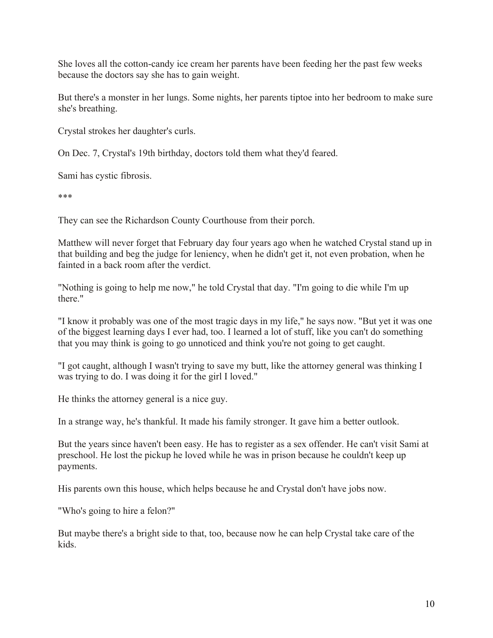She loves all the cotton-candy ice cream her parents have been feeding her the past few weeks because the doctors say she has to gain weight.

But there's a monster in her lungs. Some nights, her parents tiptoe into her bedroom to make sure she's breathing.

Crystal strokes her daughter's curls.

On Dec. 7, Crystal's 19th birthday, doctors told them what they'd feared.

Sami has cystic fibrosis.

\*\*\*

They can see the Richardson County Courthouse from their porch.

Matthew will never forget that February day four years ago when he watched Crystal stand up in that building and beg the judge for leniency, when he didn't get it, not even probation, when he fainted in a back room after the verdict.

"Nothing is going to help me now," he told Crystal that day. "I'm going to die while I'm up there."

"I know it probably was one of the most tragic days in my life," he says now. "But yet it was one of the biggest learning days I ever had, too. I learned a lot of stuff, like you can't do something that you may think is going to go unnoticed and think you're not going to get caught.

"I got caught, although I wasn't trying to save my butt, like the attorney general was thinking I was trying to do. I was doing it for the girl I loved."

He thinks the attorney general is a nice guy.

In a strange way, he's thankful. It made his family stronger. It gave him a better outlook.

But the years since haven't been easy. He has to register as a sex offender. He can't visit Sami at preschool. He lost the pickup he loved while he was in prison because he couldn't keep up payments.

His parents own this house, which helps because he and Crystal don't have jobs now.

"Who's going to hire a felon?"

But maybe there's a bright side to that, too, because now he can help Crystal take care of the kids.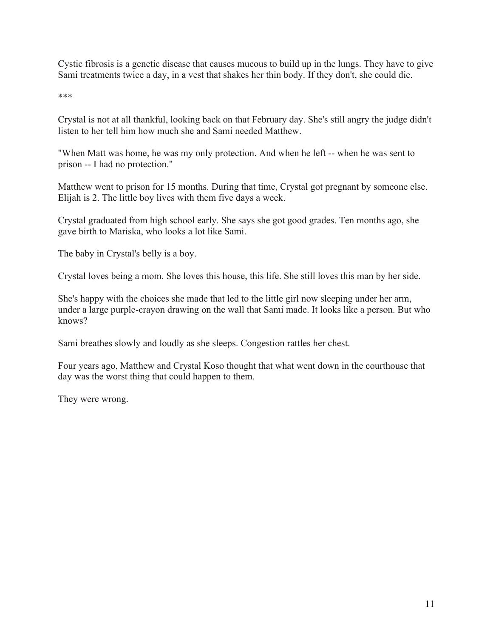Cystic fibrosis is a genetic disease that causes mucous to build up in the lungs. They have to give Sami treatments twice a day, in a vest that shakes her thin body. If they don't, she could die.

\*\*\*

Crystal is not at all thankful, looking back on that February day. She's still angry the judge didn't listen to her tell him how much she and Sami needed Matthew.

"When Matt was home, he was my only protection. And when he left -- when he was sent to prison -- I had no protection."

Matthew went to prison for 15 months. During that time, Crystal got pregnant by someone else. Elijah is 2. The little boy lives with them five days a week.

Crystal graduated from high school early. She says she got good grades. Ten months ago, she gave birth to Mariska, who looks a lot like Sami.

The baby in Crystal's belly is a boy.

Crystal loves being a mom. She loves this house, this life. She still loves this man by her side.

She's happy with the choices she made that led to the little girl now sleeping under her arm, under a large purple-crayon drawing on the wall that Sami made. It looks like a person. But who knows?

Sami breathes slowly and loudly as she sleeps. Congestion rattles her chest.

Four years ago, Matthew and Crystal Koso thought that what went down in the courthouse that day was the worst thing that could happen to them.

They were wrong.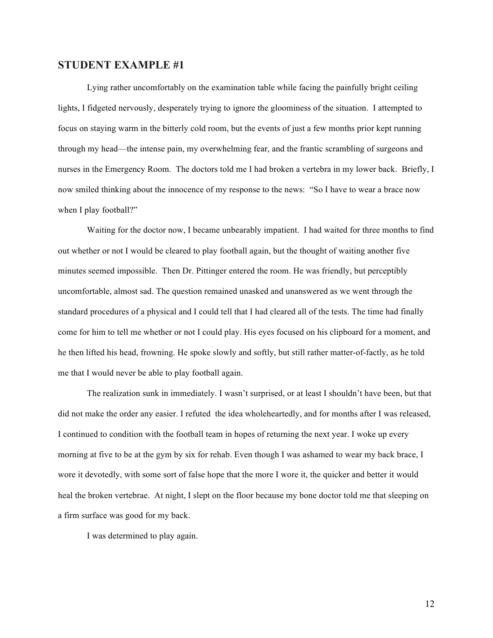#### **STUDENT EXAMPLE #1**

Lying rather uncomfortably on the examination table while facing the painfully bright ceiling lights, I fidgeted nervously, desperately trying to ignore the gloominess of the situation. I attempted to focus on staying warm in the bitterly cold room, but the events of just a few months prior kept running through my head—the intense pain, my overwhelming fear, and the frantic scrambling of surgeons and nurses in the Emergency Room. The doctors told me I had broken a vertebra in my lower back. Briefly, I now smiled thinking about the innocence of my response to the news: "So I have to wear a brace now when I play football?"

Waiting for the doctor now, I became unbearably impatient. I had waited for three months to find out whether or not I would be cleared to play football again, but the thought of waiting another five minutes seemed impossible. Then Dr. Pittinger entered the room. He was friendly, but perceptibly uncomfortable, almost sad. The question remained unasked and unanswered as we went through the standard procedures of a physical and I could tell that I had cleared all of the tests. The time had finally come for him to tell me whether or not I could play. His eyes focused on his clipboard for a moment, and he then lifted his head, frowning. He spoke slowly and softly, but still rather matter-of-factly, as he told me that I would never be able to play football again.

The realization sunk in immediately. I wasn't surprised, or at least I shouldn't have been, but that did not make the order any easier. I refuted the idea wholeheartedly, and for months after I was released, I continued to condition with the football team in hopes of returning the next year. I woke up every morning at five to be at the gym by six for rehab. Even though I was ashamed to wear my back brace, I wore it devotedly, with some sort of false hope that the more I wore it, the quicker and better it would heal the broken vertebrae. At night, I slept on the floor because my bone doctor told me that sleeping on a firm surface was good for my back.

I was determined to play again.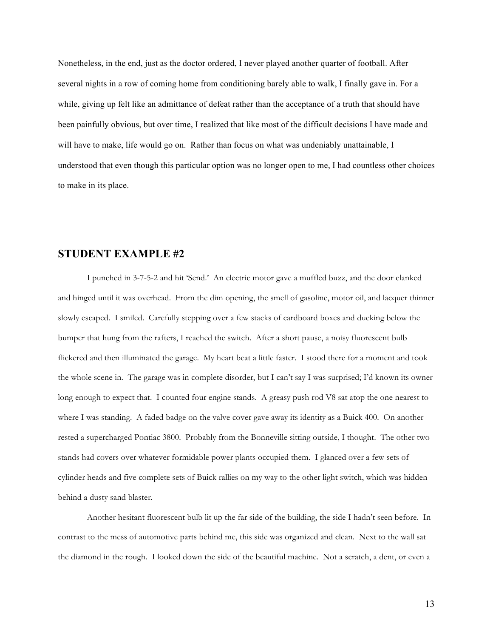Nonetheless, in the end, just as the doctor ordered, I never played another quarter of football. After several nights in a row of coming home from conditioning barely able to walk, I finally gave in. For a while, giving up felt like an admittance of defeat rather than the acceptance of a truth that should have been painfully obvious, but over time, I realized that like most of the difficult decisions I have made and will have to make, life would go on. Rather than focus on what was undeniably unattainable, I understood that even though this particular option was no longer open to me, I had countless other choices to make in its place.

#### **STUDENT EXAMPLE #2**

I punched in 3-7-5-2 and hit 'Send.' An electric motor gave a muffled buzz, and the door clanked and hinged until it was overhead. From the dim opening, the smell of gasoline, motor oil, and lacquer thinner slowly escaped. I smiled. Carefully stepping over a few stacks of cardboard boxes and ducking below the bumper that hung from the rafters, I reached the switch. After a short pause, a noisy fluorescent bulb flickered and then illuminated the garage. My heart beat a little faster. I stood there for a moment and took the whole scene in. The garage was in complete disorder, but I can't say I was surprised; I'd known its owner long enough to expect that. I counted four engine stands. A greasy push rod V8 sat atop the one nearest to where I was standing. A faded badge on the valve cover gave away its identity as a Buick 400. On another rested a supercharged Pontiac 3800. Probably from the Bonneville sitting outside, I thought. The other two stands had covers over whatever formidable power plants occupied them. I glanced over a few sets of cylinder heads and five complete sets of Buick rallies on my way to the other light switch, which was hidden behind a dusty sand blaster.

Another hesitant fluorescent bulb lit up the far side of the building, the side I hadn't seen before. In contrast to the mess of automotive parts behind me, this side was organized and clean. Next to the wall sat the diamond in the rough. I looked down the side of the beautiful machine. Not a scratch, a dent, or even a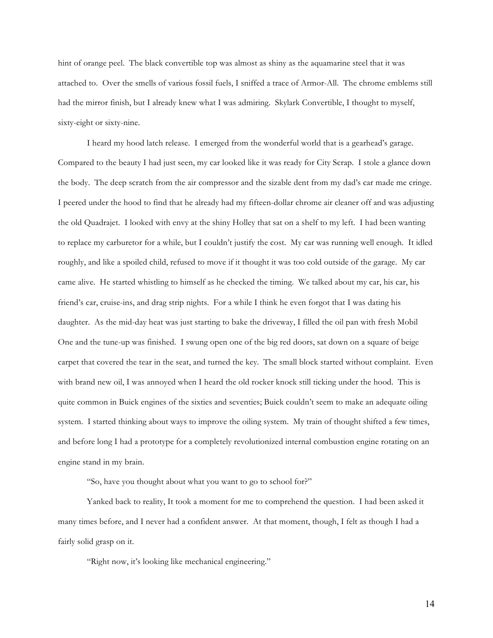hint of orange peel. The black convertible top was almost as shiny as the aquamarine steel that it was attached to. Over the smells of various fossil fuels, I sniffed a trace of Armor-All. The chrome emblems still had the mirror finish, but I already knew what I was admiring. Skylark Convertible, I thought to myself, sixty-eight or sixty-nine.

I heard my hood latch release. I emerged from the wonderful world that is a gearhead's garage. Compared to the beauty I had just seen, my car looked like it was ready for City Scrap. I stole a glance down the body. The deep scratch from the air compressor and the sizable dent from my dad's car made me cringe. I peered under the hood to find that he already had my fifteen-dollar chrome air cleaner off and was adjusting the old Quadrajet. I looked with envy at the shiny Holley that sat on a shelf to my left. I had been wanting to replace my carburetor for a while, but I couldn't justify the cost. My car was running well enough. It idled roughly, and like a spoiled child, refused to move if it thought it was too cold outside of the garage. My car came alive. He started whistling to himself as he checked the timing. We talked about my car, his car, his friend's car, cruise-ins, and drag strip nights. For a while I think he even forgot that I was dating his daughter. As the mid-day heat was just starting to bake the driveway, I filled the oil pan with fresh Mobil One and the tune-up was finished. I swung open one of the big red doors, sat down on a square of beige carpet that covered the tear in the seat, and turned the key. The small block started without complaint. Even with brand new oil, I was annoyed when I heard the old rocker knock still ticking under the hood. This is quite common in Buick engines of the sixties and seventies; Buick couldn't seem to make an adequate oiling system. I started thinking about ways to improve the oiling system. My train of thought shifted a few times, and before long I had a prototype for a completely revolutionized internal combustion engine rotating on an engine stand in my brain.

"So, have you thought about what you want to go to school for?"

Yanked back to reality, It took a moment for me to comprehend the question. I had been asked it many times before, and I never had a confident answer. At that moment, though, I felt as though I had a fairly solid grasp on it.

"Right now, it's looking like mechanical engineering."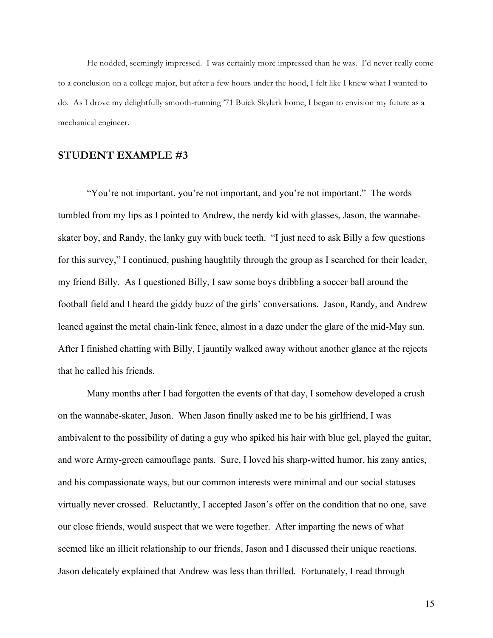He nodded, seemingly impressed. I was certainly more impressed than he was. I'd never really come to a conclusion on a college major, but after a few hours under the hood, I felt like I knew what I wanted to do. As I drove my delightfully smooth-running '71 Buick Skylark home, I began to envision my future as a mechanical engineer.

#### **STUDENT EXAMPLE #3**

"You're not important, you're not important, and you're not important." The words tumbled from my lips as I pointed to Andrew, the nerdy kid with glasses, Jason, the wannabeskater boy, and Randy, the lanky guy with buck teeth. "I just need to ask Billy a few questions for this survey," I continued, pushing haughtily through the group as I searched for their leader, my friend Billy. As I questioned Billy, I saw some boys dribbling a soccer ball around the football field and I heard the giddy buzz of the girls' conversations. Jason, Randy, and Andrew leaned against the metal chain-link fence, almost in a daze under the glare of the mid-May sun. After I finished chatting with Billy, I jauntily walked away without another glance at the rejects that he called his friends.

Many months after I had forgotten the events of that day, I somehow developed a crush on the wannabe-skater, Jason. When Jason finally asked me to be his girlfriend, I was ambivalent to the possibility of dating a guy who spiked his hair with blue gel, played the guitar, and wore Army-green camouflage pants. Sure, I loved his sharp-witted humor, his zany antics, and his compassionate ways, but our common interests were minimal and our social statuses virtually never crossed. Reluctantly, I accepted Jason's offer on the condition that no one, save our close friends, would suspect that we were together. After imparting the news of what seemed like an illicit relationship to our friends, Jason and I discussed their unique reactions. Jason delicately explained that Andrew was less than thrilled. Fortunately, I read through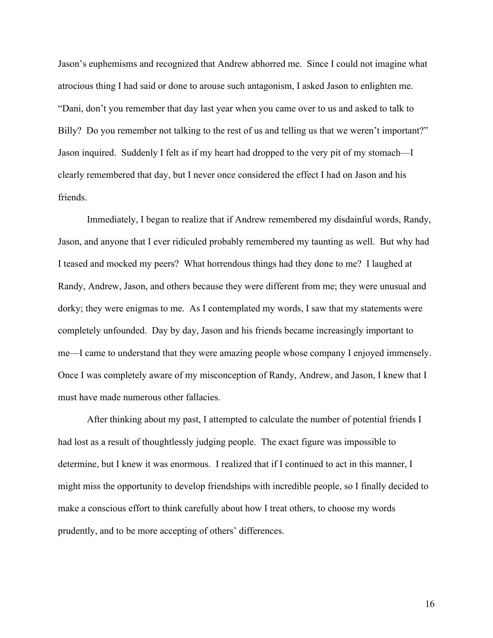Jason's euphemisms and recognized that Andrew abhorred me. Since I could not imagine what atrocious thing I had said or done to arouse such antagonism, I asked Jason to enlighten me. "Dani, don't you remember that day last year when you came over to us and asked to talk to Billy? Do you remember not talking to the rest of us and telling us that we weren't important?" Jason inquired. Suddenly I felt as if my heart had dropped to the very pit of my stomach—I clearly remembered that day, but I never once considered the effect I had on Jason and his friends.

Immediately, I began to realize that if Andrew remembered my disdainful words, Randy, Jason, and anyone that I ever ridiculed probably remembered my taunting as well. But why had I teased and mocked my peers? What horrendous things had they done to me? I laughed at Randy, Andrew, Jason, and others because they were different from me; they were unusual and dorky; they were enigmas to me. As I contemplated my words, I saw that my statements were completely unfounded. Day by day, Jason and his friends became increasingly important to me—I came to understand that they were amazing people whose company I enjoyed immensely. Once I was completely aware of my misconception of Randy, Andrew, and Jason, I knew that I must have made numerous other fallacies.

After thinking about my past, I attempted to calculate the number of potential friends I had lost as a result of thoughtlessly judging people. The exact figure was impossible to determine, but I knew it was enormous. I realized that if I continued to act in this manner, I might miss the opportunity to develop friendships with incredible people, so I finally decided to make a conscious effort to think carefully about how I treat others, to choose my words prudently, and to be more accepting of others' differences.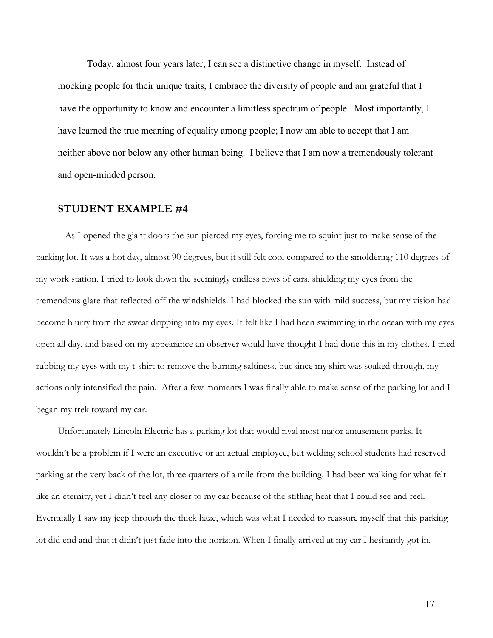Today, almost four years later, I can see a distinctive change in myself. Instead of mocking people for their unique traits, I embrace the diversity of people and am grateful that I have the opportunity to know and encounter a limitless spectrum of people. Most importantly, I have learned the true meaning of equality among people; I now am able to accept that I am neither above nor below any other human being. I believe that I am now a tremendously tolerant and open-minded person.

#### **STUDENT EXAMPLE #4**

As I opened the giant doors the sun pierced my eyes, forcing me to squint just to make sense of the parking lot. It was a hot day, almost 90 degrees, but it still felt cool compared to the smoldering 110 degrees of my work station. I tried to look down the seemingly endless rows of cars, shielding my eyes from the tremendous glare that reflected off the windshields. I had blocked the sun with mild success, but my vision had become blurry from the sweat dripping into my eyes. It felt like I had been swimming in the ocean with my eyes open all day, and based on my appearance an observer would have thought I had done this in my clothes. I tried rubbing my eyes with my t-shirt to remove the burning saltiness, but since my shirt was soaked through, my actions only intensified the pain. After a few moments I was finally able to make sense of the parking lot and I began my trek toward my car.

Unfortunately Lincoln Electric has a parking lot that would rival most major amusement parks. It wouldn't be a problem if I were an executive or an actual employee, but welding school students had reserved parking at the very back of the lot, three quarters of a mile from the building. I had been walking for what felt like an eternity, yet I didn't feel any closer to my car because of the stifling heat that I could see and feel. Eventually I saw my jeep through the thick haze, which was what I needed to reassure myself that this parking lot did end and that it didn't just fade into the horizon. When I finally arrived at my car I hesitantly got in.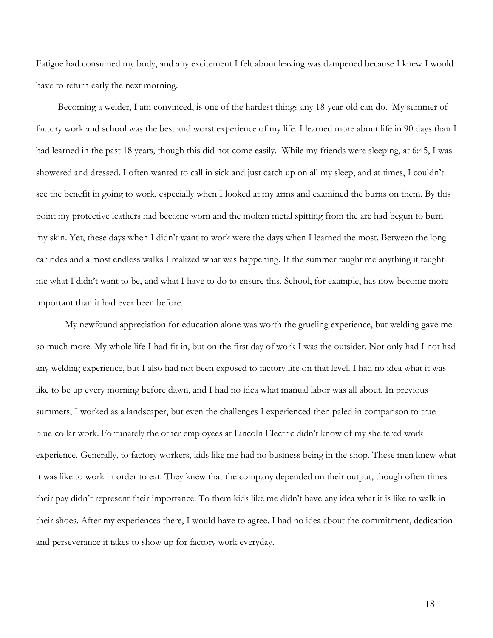Fatigue had consumed my body, and any excitement I felt about leaving was dampened because I knew I would have to return early the next morning.

Becoming a welder, I am convinced, is one of the hardest things any 18-year-old can do. My summer of factory work and school was the best and worst experience of my life. I learned more about life in 90 days than I had learned in the past 18 years, though this did not come easily. While my friends were sleeping, at 6:45, I was showered and dressed. I often wanted to call in sick and just catch up on all my sleep, and at times, I couldn't see the benefit in going to work, especially when I looked at my arms and examined the burns on them. By this point my protective leathers had become worn and the molten metal spitting from the arc had begun to burn my skin. Yet, these days when I didn't want to work were the days when I learned the most. Between the long car rides and almost endless walks I realized what was happening. If the summer taught me anything it taught me what I didn't want to be, and what I have to do to ensure this. School, for example, has now become more important than it had ever been before.

My newfound appreciation for education alone was worth the grueling experience, but welding gave me so much more. My whole life I had fit in, but on the first day of work I was the outsider. Not only had I not had any welding experience, but I also had not been exposed to factory life on that level. I had no idea what it was like to be up every morning before dawn, and I had no idea what manual labor was all about. In previous summers, I worked as a landscaper, but even the challenges I experienced then paled in comparison to true blue-collar work. Fortunately the other employees at Lincoln Electric didn't know of my sheltered work experience. Generally, to factory workers, kids like me had no business being in the shop. These men knew what it was like to work in order to eat. They knew that the company depended on their output, though often times their pay didn't represent their importance. To them kids like me didn't have any idea what it is like to walk in their shoes. After my experiences there, I would have to agree. I had no idea about the commitment, dedication and perseverance it takes to show up for factory work everyday.